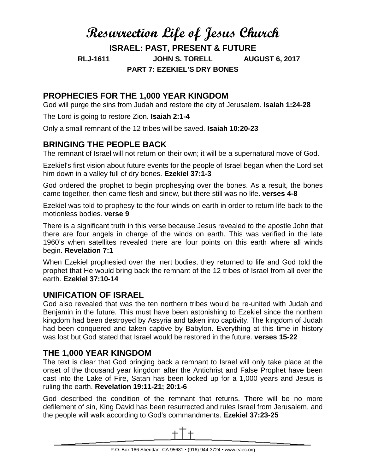# **Resurrection Life of Jesus Church**

**ISRAEL: PAST, PRESENT & FUTURE**

**RLJ-1611 JOHN S. TORELL AUGUST 6, 2017**

**PART 7: EZEKIEL'S DRY BONES**

## **PROPHECIES FOR THE 1,000 YEAR KINGDOM**

God will purge the sins from Judah and restore the city of Jerusalem. **Isaiah 1:24-28**

The Lord is going to restore Zion. **Isaiah 2:1-4**

Only a small remnant of the 12 tribes will be saved. **Isaiah 10:20-23**

## **BRINGING THE PEOPLE BACK**

The remnant of Israel will not return on their own; it will be a supernatural move of God.

Ezekiel's first vision about future events for the people of Israel began when the Lord set him down in a valley full of dry bones. **Ezekiel 37:1-3**

God ordered the prophet to begin prophesying over the bones. As a result, the bones came together, then came flesh and sinew, but there still was no life. **verses 4-8**

Ezekiel was told to prophesy to the four winds on earth in order to return life back to the motionless bodies. **verse 9**

There is a significant truth in this verse because Jesus revealed to the apostle John that there are four angels in charge of the winds on earth. This was verified in the late 1960's when satellites revealed there are four points on this earth where all winds begin. **Revelation 7:1**

When Ezekiel prophesied over the inert bodies, they returned to life and God told the prophet that He would bring back the remnant of the 12 tribes of Israel from all over the earth. **Ezekiel 37:10-14**

#### **UNIFICATION OF ISRAEL**

God also revealed that was the ten northern tribes would be re-united with Judah and Benjamin in the future. This must have been astonishing to Ezekiel since the northern kingdom had been destroyed by Assyria and taken into captivity. The kingdom of Judah had been conquered and taken captive by Babylon. Everything at this time in history was lost but God stated that Israel would be restored in the future. **verses 15-22**

### **THE 1,000 YEAR KINGDOM**

The text is clear that God bringing back a remnant to Israel will only take place at the onset of the thousand year kingdom after the Antichrist and False Prophet have been cast into the Lake of Fire, Satan has been locked up for a 1,000 years and Jesus is ruling the earth. **Revelation 19:11-21; 20:1-6**

God described the condition of the remnant that returns. There will be no more defilement of sin, King David has been resurrected and rules Israel from Jerusalem, and the people will walk according to God's commandments. **Ezekiel 37:23-25**